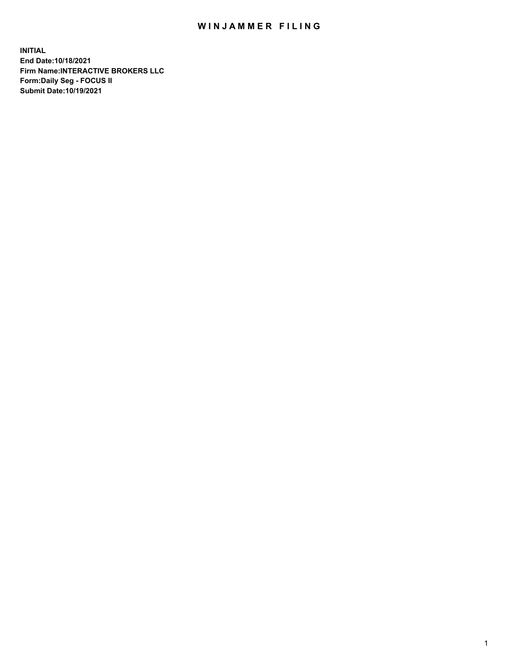## WIN JAMMER FILING

**INITIAL End Date:10/18/2021 Firm Name:INTERACTIVE BROKERS LLC Form:Daily Seg - FOCUS II Submit Date:10/19/2021**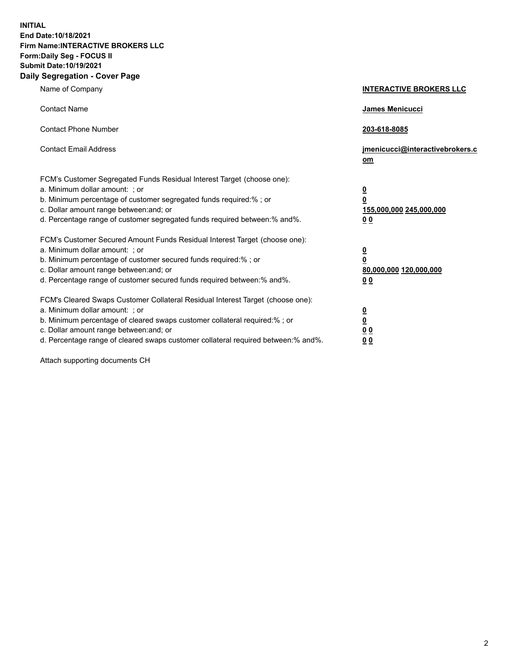**INITIAL End Date:10/18/2021 Firm Name:INTERACTIVE BROKERS LLC Form:Daily Seg - FOCUS II Submit Date:10/19/2021 Daily Segregation - Cover Page**

| Name of Company                                                                                                                                                                                                                                                                                                                | <b>INTERACTIVE BROKERS LLC</b>                                                                           |
|--------------------------------------------------------------------------------------------------------------------------------------------------------------------------------------------------------------------------------------------------------------------------------------------------------------------------------|----------------------------------------------------------------------------------------------------------|
| <b>Contact Name</b>                                                                                                                                                                                                                                                                                                            | James Menicucci                                                                                          |
| <b>Contact Phone Number</b>                                                                                                                                                                                                                                                                                                    | 203-618-8085                                                                                             |
| <b>Contact Email Address</b>                                                                                                                                                                                                                                                                                                   | jmenicucci@interactivebrokers.c<br>om                                                                    |
| FCM's Customer Segregated Funds Residual Interest Target (choose one):<br>a. Minimum dollar amount: ; or<br>b. Minimum percentage of customer segregated funds required:% ; or<br>c. Dollar amount range between: and; or<br>d. Percentage range of customer segregated funds required between:% and%.                         | $\overline{\mathbf{0}}$<br>$\overline{\mathbf{0}}$<br>155,000,000 245,000,000<br>0 <sub>0</sub>          |
| FCM's Customer Secured Amount Funds Residual Interest Target (choose one):<br>a. Minimum dollar amount: ; or<br>b. Minimum percentage of customer secured funds required:%; or<br>c. Dollar amount range between: and; or<br>d. Percentage range of customer secured funds required between:% and%.                            | $\overline{\mathbf{0}}$<br>$\overline{\mathbf{0}}$<br>80,000,000 120,000,000<br>00                       |
| FCM's Cleared Swaps Customer Collateral Residual Interest Target (choose one):<br>a. Minimum dollar amount: ; or<br>b. Minimum percentage of cleared swaps customer collateral required:% ; or<br>c. Dollar amount range between: and; or<br>d. Percentage range of cleared swaps customer collateral required between:% and%. | $\overline{\mathbf{0}}$<br>$\underline{\mathbf{0}}$<br>$\underline{0}$ $\underline{0}$<br>0 <sub>0</sub> |

Attach supporting documents CH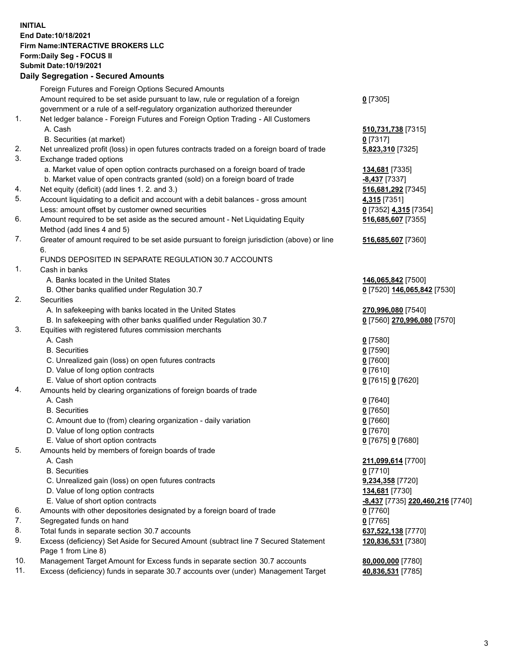## **INITIAL End Date:10/18/2021 Firm Name:INTERACTIVE BROKERS LLC Form:Daily Seg - FOCUS II Submit Date:10/19/2021 Daily Segregation - Secured Amounts**

|     | Dally Segregation - Secured Amounts                                                         |                                         |
|-----|---------------------------------------------------------------------------------------------|-----------------------------------------|
|     | Foreign Futures and Foreign Options Secured Amounts                                         |                                         |
|     | Amount required to be set aside pursuant to law, rule or regulation of a foreign            | $0$ [7305]                              |
|     | government or a rule of a self-regulatory organization authorized thereunder                |                                         |
| 1.  | Net ledger balance - Foreign Futures and Foreign Option Trading - All Customers             |                                         |
|     | A. Cash                                                                                     | 510,731,738 [7315]                      |
|     | B. Securities (at market)                                                                   | $0$ [7317]                              |
| 2.  | Net unrealized profit (loss) in open futures contracts traded on a foreign board of trade   | 5,823,310 [7325]                        |
| 3.  | Exchange traded options                                                                     |                                         |
|     | a. Market value of open option contracts purchased on a foreign board of trade              | 134,681 [7335]                          |
|     | b. Market value of open contracts granted (sold) on a foreign board of trade                | $-8,437$ [7337]                         |
| 4.  | Net equity (deficit) (add lines 1. 2. and 3.)                                               | 516,681,292 [7345]                      |
| 5.  | Account liquidating to a deficit and account with a debit balances - gross amount           | 4,315 [7351]                            |
|     | Less: amount offset by customer owned securities                                            | 0 [7352] 4,315 [7354]                   |
| 6.  | Amount required to be set aside as the secured amount - Net Liquidating Equity              | 516,685,607 [7355]                      |
|     | Method (add lines 4 and 5)                                                                  |                                         |
| 7.  | Greater of amount required to be set aside pursuant to foreign jurisdiction (above) or line | 516,685,607 [7360]                      |
|     | 6.                                                                                          |                                         |
|     | FUNDS DEPOSITED IN SEPARATE REGULATION 30.7 ACCOUNTS                                        |                                         |
| 1.  | Cash in banks                                                                               |                                         |
|     | A. Banks located in the United States                                                       | 146,065,842 [7500]                      |
|     | B. Other banks qualified under Regulation 30.7                                              | 0 [7520] 146,065,842 [7530]             |
| 2.  | Securities                                                                                  |                                         |
|     | A. In safekeeping with banks located in the United States                                   | 270,996,080 [7540]                      |
|     | B. In safekeeping with other banks qualified under Regulation 30.7                          | 0 [7560] 270,996,080 [7570]             |
| 3.  | Equities with registered futures commission merchants                                       |                                         |
|     | A. Cash                                                                                     | $0$ [7580]                              |
|     | <b>B.</b> Securities                                                                        | $0$ [7590]                              |
|     | C. Unrealized gain (loss) on open futures contracts                                         | $0$ [7600]                              |
|     | D. Value of long option contracts                                                           | $0$ [7610]                              |
|     | E. Value of short option contracts                                                          | 0 [7615] 0 [7620]                       |
| 4.  | Amounts held by clearing organizations of foreign boards of trade                           |                                         |
|     | A. Cash                                                                                     | $0$ [7640]                              |
|     | <b>B.</b> Securities                                                                        | $0$ [7650]                              |
|     | C. Amount due to (from) clearing organization - daily variation                             | $0$ [7660]                              |
|     | D. Value of long option contracts                                                           | $0$ [7670]                              |
|     | E. Value of short option contracts                                                          | 0 [7675] 0 [7680]                       |
| 5.  | Amounts held by members of foreign boards of trade                                          |                                         |
|     | A. Cash                                                                                     | 211,099,614 [7700]                      |
|     | <b>B.</b> Securities                                                                        | $0$ [7710]                              |
|     | C. Unrealized gain (loss) on open futures contracts                                         | 9,234,358 [7720]                        |
|     | D. Value of long option contracts                                                           | <b>134,681</b> [7730]                   |
|     | E. Value of short option contracts                                                          | <u>-8,437</u> [7735] 220,460,216 [7740] |
| 6.  | Amounts with other depositories designated by a foreign board of trade                      | $0$ [7760]                              |
| 7.  | Segregated funds on hand                                                                    | $0$ [7765]                              |
| 8.  | Total funds in separate section 30.7 accounts                                               | 637,522,138 [7770]                      |
| 9.  | Excess (deficiency) Set Aside for Secured Amount (subtract line 7 Secured Statement         | 120,836,531 [7380]                      |
|     | Page 1 from Line 8)                                                                         |                                         |
| 10. | Management Target Amount for Excess funds in separate section 30.7 accounts                 | 80,000,000 [7780]                       |
| 11. | Excess (deficiency) funds in separate 30.7 accounts over (under) Management Target          | 40,836,531 [7785]                       |
|     |                                                                                             |                                         |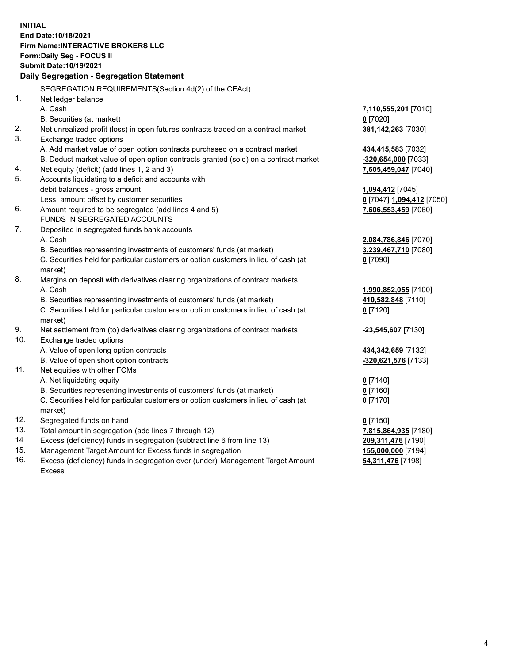**INITIAL End Date:10/18/2021 Firm Name:INTERACTIVE BROKERS LLC Form:Daily Seg - FOCUS II Submit Date:10/19/2021 Daily Segregation - Segregation Statement** SEGREGATION REQUIREMENTS(Section 4d(2) of the CEAct) 1. Net ledger balance A. Cash **7,110,555,201** [7010] B. Securities (at market) **0** [7020] 2. Net unrealized profit (loss) in open futures contracts traded on a contract market **381,142,263** [7030] 3. Exchange traded options A. Add market value of open option contracts purchased on a contract market **434,415,583** [7032] B. Deduct market value of open option contracts granted (sold) on a contract market **-320,654,000** [7033] 4. Net equity (deficit) (add lines 1, 2 and 3) **7,605,459,047** [7040] 5. Accounts liquidating to a deficit and accounts with debit balances - gross amount **1,094,412** [7045] Less: amount offset by customer securities **0** [7047] **1,094,412** [7050] 6. Amount required to be segregated (add lines 4 and 5) **7,606,553,459** [7060] FUNDS IN SEGREGATED ACCOUNTS 7. Deposited in segregated funds bank accounts A. Cash **2,084,786,846** [7070] B. Securities representing investments of customers' funds (at market) **3,239,467,710** [7080] C. Securities held for particular customers or option customers in lieu of cash (at market) **0** [7090] 8. Margins on deposit with derivatives clearing organizations of contract markets A. Cash **1,990,852,055** [7100] B. Securities representing investments of customers' funds (at market) **410,582,848** [7110] C. Securities held for particular customers or option customers in lieu of cash (at market) **0** [7120] 9. Net settlement from (to) derivatives clearing organizations of contract markets **-23,545,607** [7130] 10. Exchange traded options A. Value of open long option contracts **434,342,659** [7132] B. Value of open short option contracts **-320,621,576** [7133] 11. Net equities with other FCMs A. Net liquidating equity **0** [7140] B. Securities representing investments of customers' funds (at market) **0** [7160] C. Securities held for particular customers or option customers in lieu of cash (at market) **0** [7170] 12. Segregated funds on hand **0** [7150] 13. Total amount in segregation (add lines 7 through 12) **7,815,864,935** [7180] 14. Excess (deficiency) funds in segregation (subtract line 6 from line 13) **209,311,476** [7190] 15. Management Target Amount for Excess funds in segregation **155,000,000** [7194] 16. Excess (deficiency) funds in segregation over (under) Management Target Amount **54,311,476** [7198]

Excess